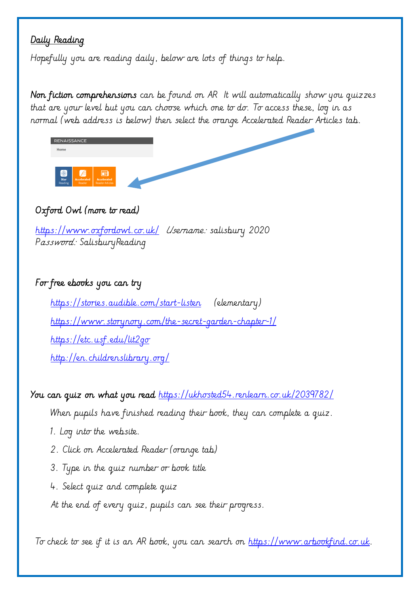## Daily Reading

Hopefully you are reading daily, below are lots of things to help.

Non fiction comprehensions can be found on AR It will automatically show you quizzes that are your level but you can choose which one to do. To access these, log in as normal (web address is below) then select the orange Accelerated Reader Articles tab.



## Oxford Owl (more to read)

<https://www.oxfordowl.co.uk/>Username: salisbury 2020 Password: SalisburyReading

## For free ebooks you can try

<https://stories.audible.com/start-listen>(elementary) <https://www.storynory.com/the-secret-garden-chapter-1/> <https://etc.usf.edu/lit2go> <http://en.childrenslibrary.org/>

You can quiz on what you read <https://ukhosted54.renlearn.co.uk/2039782/>

When pupils have finished reading their book, they can complete a quiz.

- 1. Log into the website.
- 2. Click on Accelerated Reader (orange tab)
- 3. Type in the quiz number or book title
- 4. Select quiz and complete quiz
- At the end of every quiz, pupils can see their progress.

To check to see if it is an AR book, you can search on [https://www.arbookfind.co.uk.](https://www.arbookfind.co.uk/)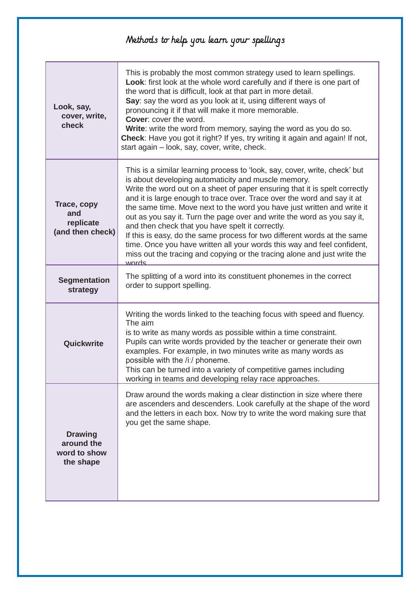## Methods to help you learn your spellings

| Look, say,<br>cover, write,<br>check                      | This is probably the most common strategy used to learn spellings.<br>Look: first look at the whole word carefully and if there is one part of<br>the word that is difficult, look at that part in more detail.<br>Say: say the word as you look at it, using different ways of<br>pronouncing it if that will make it more memorable.<br><b>Cover: cover the word.</b><br>Write: write the word from memory, saying the word as you do so.<br>Check: Have you got it right? If yes, try writing it again and again! If not,<br>start again - look, say, cover, write, check.                                                                                                                                                                    |
|-----------------------------------------------------------|--------------------------------------------------------------------------------------------------------------------------------------------------------------------------------------------------------------------------------------------------------------------------------------------------------------------------------------------------------------------------------------------------------------------------------------------------------------------------------------------------------------------------------------------------------------------------------------------------------------------------------------------------------------------------------------------------------------------------------------------------|
| Trace, copy<br>and<br>replicate<br>(and then check)       | This is a similar learning process to 'look, say, cover, write, check' but<br>is about developing automaticity and muscle memory.<br>Write the word out on a sheet of paper ensuring that it is spelt correctly<br>and it is large enough to trace over. Trace over the word and say it at<br>the same time. Move next to the word you have just written and write it<br>out as you say it. Turn the page over and write the word as you say it,<br>and then check that you have spelt it correctly.<br>If this is easy, do the same process for two different words at the same<br>time. Once you have written all your words this way and feel confident,<br>miss out the tracing and copying or the tracing alone and just write the<br>words |
| <b>Segmentation</b><br>strategy                           | The splitting of a word into its constituent phonemes in the correct<br>order to support spelling.                                                                                                                                                                                                                                                                                                                                                                                                                                                                                                                                                                                                                                               |
| Quickwrite                                                | Writing the words linked to the teaching focus with speed and fluency.<br>The aim<br>is to write as many words as possible within a time constraint.<br>Pupils can write words provided by the teacher or generate their own<br>examples. For example, in two minutes write as many words as<br>possible with the /i:/ phoneme.<br>This can be turned into a variety of competitive games including<br>working in teams and developing relay race approaches.                                                                                                                                                                                                                                                                                    |
| <b>Drawing</b><br>around the<br>word to show<br>the shape | Draw around the words making a clear distinction in size where there<br>are ascenders and descenders. Look carefully at the shape of the word<br>and the letters in each box. Now try to write the word making sure that<br>you get the same shape.                                                                                                                                                                                                                                                                                                                                                                                                                                                                                              |